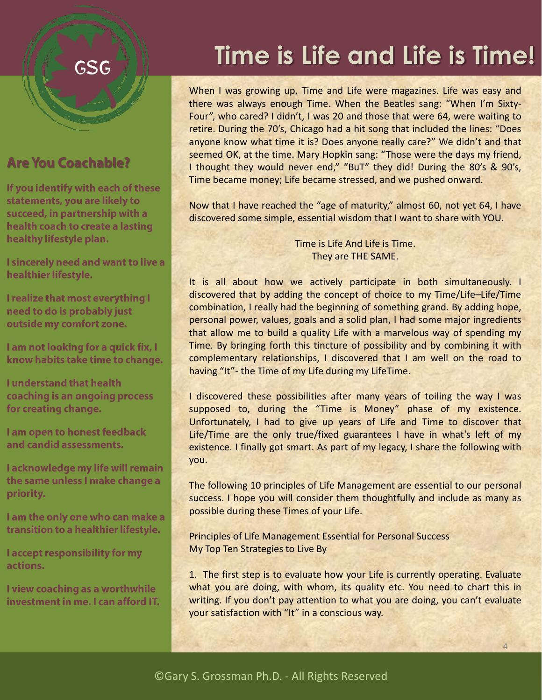## **GSG**

## **Are You Coachable?**

If you identify with each of these statements, you are likely to succeed, in partnership with a health coach to create a lasting healthy lifestyle plan.

I sincerely need and want to live a healthier lifestyle.

I realize that most everything I need to do is probably just outside my comfort zone.

I am not looking for a quick fix, I know habits take time to change.

**Lunderstand that health** coaching is an ongoing process for creating change.

I am open to honest feedback and candid assessments.

I acknowledge my life will remain the same unless I make change a priority.

I am the only one who can make a transition to a healthier lifestyle.

I accept responsibility for my actions.

I view coaching as a worthwhile investment in me. I can afford IT.

## **Time is Life and Life is Time!**

When I was growing up, Time and Life were magazines. Life was easy and there was always enough Time. When the Beatles sang: "When I'm Sixty-Four", who cared? I didn't, I was 20 and those that were 64, were waiting to retire. During the 70's, Chicago had a hit song that included the lines: "Does anyone know what time it is? Does anyone really care?" We didn't and that seemed OK, at the time. Mary Hopkin sang: "Those were the days my friend, I thought they would never end," "BuT" they did! During the 80's & 90's, Time became money; Life became stressed, and we pushed onward.

Now that I have reached the "age of maturity," almost 60, not yet 64, I have discovered some simple, essential wisdom that I want to share with YOU.

> Time is Life And Life is Time. They are THE SAME.

It is all about how we actively participate in both simultaneously. I discovered that by adding the concept of choice to my Time/Life–Life/Time combination, I really had the beginning of something grand. By adding hope, personal power, values, goals and a solid plan, I had some major ingredients that allow me to build a quality Life with a marvelous way of spending my Time. By bringing forth this tincture of possibility and by combining it with complementary relationships, I discovered that I am well on the road to having "It"- the Time of my Life during my LifeTime.

I discovered these possibilities after many years of toiling the way I was supposed to, during the "Time is Money" phase of my existence. Unfortunately, I had to give up years of Life and Time to discover that Life/Time are the only true/fixed guarantees I have in what's left of my existence. I finally got smart. As part of my legacy, I share the following with you.

The following 10 principles of Life Management are essential to our personal success. I hope you will consider them thoughtfully and include as many as possible during these Times of your Life.

Principles of Life Management Essential for Personal Success My Top Ten Strategies to Live By

1. The first step is to evaluate how your Life is currently operating. Evaluate what you are doing, with whom, its quality etc. You need to chart this in writing. If you don't pay attention to what you are doing, you can't evaluate your satisfaction with "It" in a conscious way.

4